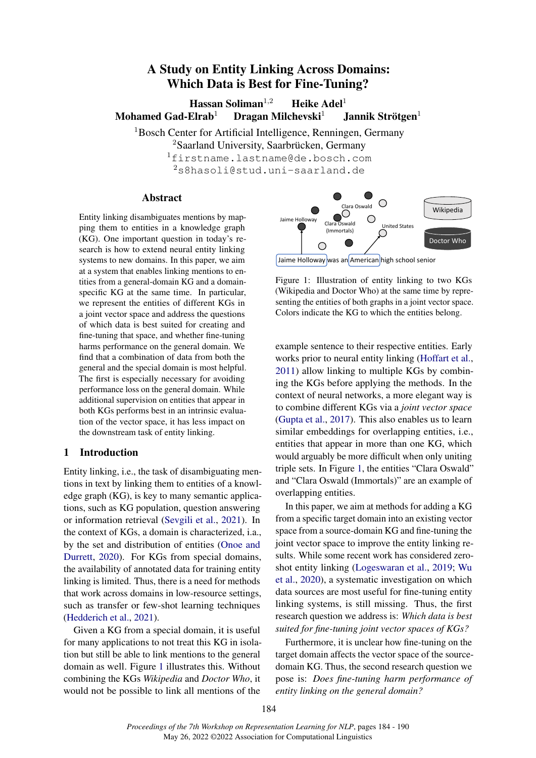# A Study on Entity Linking Across Domains: Which Data is Best for Fine-Tuning?

Hassan Soliman<sup>1,2</sup> Heike Adel<sup>1</sup> Mohamed Gad-Elrab<sup>1</sup> Dragan Milchevski<sup>1</sup> Jannik Strötgen<sup>1</sup>

<sup>1</sup>Bosch Center for Artificial Intelligence, Renningen, Germany

<sup>2</sup>Saarland University, Saarbrücken, Germany

<sup>1</sup>firstname.lastname@de.bosch.com <sup>2</sup>s8hasoli@stud.uni-saarland.de

# Abstract

Entity linking disambiguates mentions by mapping them to entities in a knowledge graph (KG). One important question in today's research is how to extend neural entity linking systems to new domains. In this paper, we aim at a system that enables linking mentions to entities from a general-domain KG and a domainspecific KG at the same time. In particular, we represent the entities of different KGs in a joint vector space and address the questions of which data is best suited for creating and fine-tuning that space, and whether fine-tuning harms performance on the general domain. We find that a combination of data from both the general and the special domain is most helpful. The first is especially necessary for avoiding performance loss on the general domain. While additional supervision on entities that appear in both KGs performs best in an intrinsic evaluation of the vector space, it has less impact on the downstream task of entity linking.

# 1 Introduction

Entity linking, i.e., the task of disambiguating mentions in text by linking them to entities of a knowledge graph (KG), is key to many semantic applications, such as KG population, question answering or information retrieval [\(Sevgili et al.,](#page-5-0) [2021\)](#page-5-0). In the context of KGs, a domain is characterized, i.a., by the set and distribution of entities [\(Onoe and](#page-5-1) [Durrett,](#page-5-1) [2020\)](#page-5-1). For KGs from special domains, the availability of annotated data for training entity linking is limited. Thus, there is a need for methods that work across domains in low-resource settings, such as transfer or few-shot learning techniques [\(Hedderich et al.,](#page-5-2) [2021\)](#page-5-2).

Given a KG from a special domain, it is useful for many applications to not treat this KG in isolation but still be able to link mentions to the general domain as well. Figure [1](#page-0-0) illustrates this. Without combining the KGs *Wikipedia* and *Doctor Who*, it would not be possible to link all mentions of the

<span id="page-0-0"></span>

Figure 1: Illustration of entity linking to two KGs (Wikipedia and Doctor Who) at the same time by representing the entities of both graphs in a joint vector space. Colors indicate the KG to which the entities belong.

example sentence to their respective entities. Early works prior to neural entity linking [\(Hoffart et al.,](#page-5-3) [2011\)](#page-5-3) allow linking to multiple KGs by combining the KGs before applying the methods. In the context of neural networks, a more elegant way is to combine different KGs via a *joint vector space* [\(Gupta et al.,](#page-5-4) [2017\)](#page-5-4). This also enables us to learn similar embeddings for overlapping entities, i.e., entities that appear in more than one KG, which would arguably be more difficult when only uniting triple sets. In Figure [1,](#page-0-0) the entities "Clara Oswald" and "Clara Oswald (Immortals)" are an example of overlapping entities.

In this paper, we aim at methods for adding a KG from a specific target domain into an existing vector space from a source-domain KG and fine-tuning the joint vector space to improve the entity linking results. While some recent work has considered zeroshot entity linking [\(Logeswaran et al.,](#page-5-5) [2019;](#page-5-5) [Wu](#page-5-6) [et al.,](#page-5-6) [2020\)](#page-5-6), a systematic investigation on which data sources are most useful for fine-tuning entity linking systems, is still missing. Thus, the first research question we address is: *Which data is best suited for fine-tuning joint vector spaces of KGs?*

Furthermore, it is unclear how fine-tuning on the target domain affects the vector space of the sourcedomain KG. Thus, the second research question we pose is: *Does fine-tuning harm performance of entity linking on the general domain?*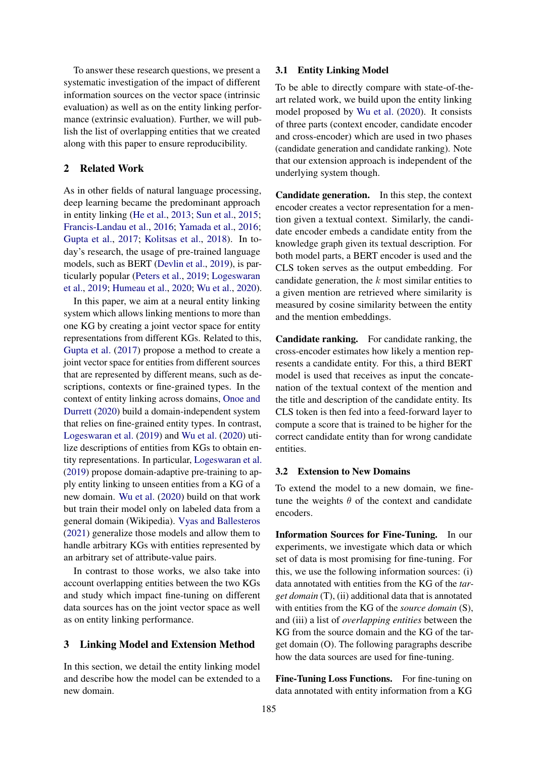To answer these research questions, we present a systematic investigation of the impact of different information sources on the vector space (intrinsic evaluation) as well as on the entity linking performance (extrinsic evaluation). Further, we will publish the list of overlapping entities that we created along with this paper to ensure reproducibility.

### 2 Related Work

As in other fields of natural language processing, deep learning became the predominant approach in entity linking [\(He et al.,](#page-5-7) [2013;](#page-5-7) [Sun et al.,](#page-5-8) [2015;](#page-5-8) [Francis-Landau et al.,](#page-5-9) [2016;](#page-5-9) [Yamada et al.,](#page-6-0) [2016;](#page-6-0) [Gupta et al.,](#page-5-4) [2017;](#page-5-4) [Kolitsas et al.,](#page-5-10) [2018\)](#page-5-10). In today's research, the usage of pre-trained language models, such as BERT [\(Devlin et al.,](#page-5-11) [2019\)](#page-5-11), is particularly popular [\(Peters et al.,](#page-5-12) [2019;](#page-5-12) [Logeswaran](#page-5-5) [et al.,](#page-5-5) [2019;](#page-5-5) [Humeau et al.,](#page-5-13) [2020;](#page-5-13) [Wu et al.,](#page-5-6) [2020\)](#page-5-6).

In this paper, we aim at a neural entity linking system which allows linking mentions to more than one KG by creating a joint vector space for entity representations from different KGs. Related to this, [Gupta et al.](#page-5-4) [\(2017\)](#page-5-4) propose a method to create a joint vector space for entities from different sources that are represented by different means, such as descriptions, contexts or fine-grained types. In the context of entity linking across domains, [Onoe and](#page-5-1) [Durrett](#page-5-1) [\(2020\)](#page-5-1) build a domain-independent system that relies on fine-grained entity types. In contrast, [Logeswaran et al.](#page-5-5) [\(2019\)](#page-5-5) and [Wu et al.](#page-5-6) [\(2020\)](#page-5-6) utilize descriptions of entities from KGs to obtain entity representations. In particular, [Logeswaran et al.](#page-5-5) [\(2019\)](#page-5-5) propose domain-adaptive pre-training to apply entity linking to unseen entities from a KG of a new domain. [Wu et al.](#page-5-6) [\(2020\)](#page-5-6) build on that work but train their model only on labeled data from a general domain (Wikipedia). [Vyas and Ballesteros](#page-5-14) [\(2021\)](#page-5-14) generalize those models and allow them to handle arbitrary KGs with entities represented by an arbitrary set of attribute-value pairs.

In contrast to those works, we also take into account overlapping entities between the two KGs and study which impact fine-tuning on different data sources has on the joint vector space as well as on entity linking performance.

# 3 Linking Model and Extension Method

In this section, we detail the entity linking model and describe how the model can be extended to a new domain.

#### 3.1 Entity Linking Model

To be able to directly compare with state-of-theart related work, we build upon the entity linking model proposed by [Wu et al.](#page-5-6) [\(2020\)](#page-5-6). It consists of three parts (context encoder, candidate encoder and cross-encoder) which are used in two phases (candidate generation and candidate ranking). Note that our extension approach is independent of the underlying system though.

Candidate generation. In this step, the context encoder creates a vector representation for a mention given a textual context. Similarly, the candidate encoder embeds a candidate entity from the knowledge graph given its textual description. For both model parts, a BERT encoder is used and the CLS token serves as the output embedding. For candidate generation, the  $k$  most similar entities to a given mention are retrieved where similarity is measured by cosine similarity between the entity and the mention embeddings.

Candidate ranking. For candidate ranking, the cross-encoder estimates how likely a mention represents a candidate entity. For this, a third BERT model is used that receives as input the concatenation of the textual context of the mention and the title and description of the candidate entity. Its CLS token is then fed into a feed-forward layer to compute a score that is trained to be higher for the correct candidate entity than for wrong candidate entities.

# <span id="page-1-0"></span>3.2 Extension to New Domains

To extend the model to a new domain, we finetune the weights  $\theta$  of the context and candidate encoders.

Information Sources for Fine-Tuning. In our experiments, we investigate which data or which set of data is most promising for fine-tuning. For this, we use the following information sources: (i) data annotated with entities from the KG of the *target domain* (T), (ii) additional data that is annotated with entities from the KG of the *source domain* (S), and (iii) a list of *overlapping entities* between the KG from the source domain and the KG of the target domain (O). The following paragraphs describe how the data sources are used for fine-tuning.

Fine-Tuning Loss Functions. For fine-tuning on data annotated with entity information from a KG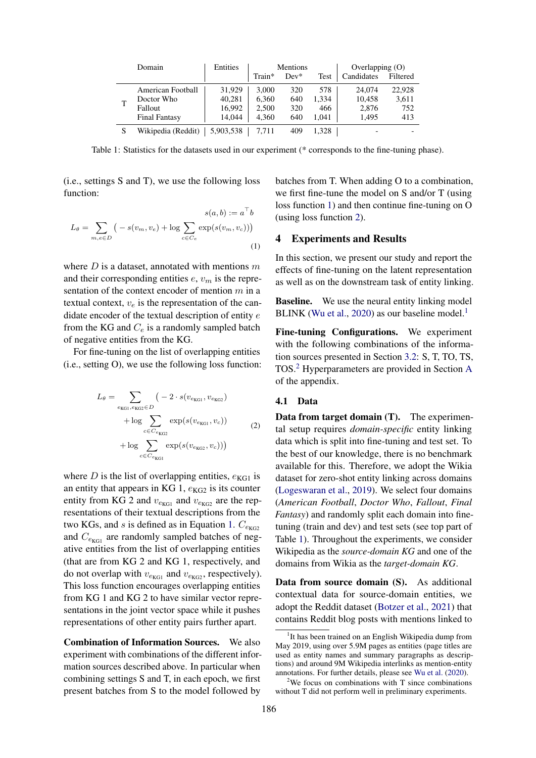<span id="page-2-4"></span>

| Domain |                      | Entities  | Mentions |        |       | Overlapping $(0)$ |          |  |
|--------|----------------------|-----------|----------|--------|-------|-------------------|----------|--|
|        |                      |           | Train*   | $Dev*$ | Test  | Candidates        | Filtered |  |
|        | American Football    | 31,929    | 3.000    | 320    | 578   | 24,074            | 22,928   |  |
|        | Doctor Who           | 40,281    | 6,360    | 640    | 1.334 | 10,458            | 3,611    |  |
|        | Fallout              | 16,992    | 2,500    | 320    | 466   | 2,876             | 752      |  |
|        | <b>Final Fantasy</b> | 14,044    | 4,360    | 640    | 1.041 | 1,495             | 413      |  |
|        | Wikipedia (Reddit)   | 5,903,538 | 7.711    | 409    | 1.328 |                   |          |  |

<span id="page-2-0"></span>Table 1: Statistics for the datasets used in our experiment (\* corresponds to the fine-tuning phase).

(i.e., settings S and T), we use the following loss function:

$$
L_{\theta} = \sum_{m,e \in D} \left( -s(v_m, v_e) + \log \sum_{c \in C_e} \exp(s(v_m, v_c)) \right)
$$
\n(1)

where  $D$  is a dataset, annotated with mentions  $m$ and their corresponding entities  $e$ ,  $v_m$  is the representation of the context encoder of mention  $m$  in a textual context,  $v_e$  is the representation of the candidate encoder of the textual description of entity e from the KG and  $C_e$  is a randomly sampled batch of negative entities from the KG.

<span id="page-2-1"></span>For fine-tuning on the list of overlapping entities (i.e., setting O), we use the following loss function:

$$
L_{\theta} = \sum_{e_{\text{KG1}}, e_{\text{KG2}} \in D} (-2 \cdot s(v_{e_{\text{KG1}}}, v_{e_{\text{KG2}}}) + \log \sum_{c \in C_{e_{\text{KG2}}}} \exp(s(v_{e_{\text{KG1}}}, v_c)) + \log \sum_{c \in C_{e_{\text{KG1}}}} \exp(s(v_{e_{\text{KG2}}}, v_c)))
$$
(2)

where D is the list of overlapping entities,  $e_{KG1}$  is an entity that appears in KG 1,  $e_{KG2}$  is its counter entity from KG 2 and  $v_{e_{\text{KG}}}$  and  $v_{e_{\text{KG}}}$  are the representations of their textual descriptions from the two KGs, and s is defined as in Equation [1.](#page-2-0)  $C_{\text{ekG2}}$ and  $C_{\text{ekG1}}$  are randomly sampled batches of negative entities from the list of overlapping entities (that are from KG 2 and KG 1, respectively, and do not overlap with  $v_{e_{\text{KG}}}$  and  $v_{e_{\text{KG}}}$ , respectively). This loss function encourages overlapping entities from KG 1 and KG 2 to have similar vector representations in the joint vector space while it pushes representations of other entity pairs further apart.

Combination of Information Sources. We also experiment with combinations of the different information sources described above. In particular when combining settings S and T, in each epoch, we first present batches from S to the model followed by

batches from T. When adding O to a combination, we first fine-tune the model on S and/or T (using loss function [1\)](#page-2-0) and then continue fine-tuning on O (using loss function [2\)](#page-2-1).

# 4 Experiments and Results

In this section, we present our study and report the effects of fine-tuning on the latent representation as well as on the downstream task of entity linking.

**Baseline.** We use the neural entity linking model BLINK [\(Wu et al.,](#page-5-6) [2020\)](#page-5-6) as our baseline model. $<sup>1</sup>$  $<sup>1</sup>$  $<sup>1</sup>$ </sup>

Fine-tuning Configurations. We experiment with the following combinations of the information sources presented in Section [3.2:](#page-1-0) S, T, TO, TS, TOS.[2](#page-2-3) Hyperparameters are provided in Section [A](#page-6-1) of the appendix.

#### 4.1 Data

Data from target domain (T). The experimental setup requires *domain-specific* entity linking data which is split into fine-tuning and test set. To the best of our knowledge, there is no benchmark available for this. Therefore, we adopt the Wikia dataset for zero-shot entity linking across domains [\(Logeswaran et al.,](#page-5-5) [2019\)](#page-5-5). We select four domains (*American Football*, *Doctor Who*, *Fallout*, *Final Fantasy*) and randomly split each domain into finetuning (train and dev) and test sets (see top part of Table [1\)](#page-2-4). Throughout the experiments, we consider Wikipedia as the *source-domain KG* and one of the domains from Wikia as the *target-domain KG*.

Data from source domain (S). As additional contextual data for source-domain entities, we adopt the Reddit dataset [\(Botzer et al.,](#page-5-15) [2021\)](#page-5-15) that contains Reddit blog posts with mentions linked to

<span id="page-2-2"></span><sup>&</sup>lt;sup>1</sup>It has been trained on an English Wikipedia dump from May 2019, using over 5.9M pages as entities (page titles are used as entity names and summary paragraphs as descriptions) and around 9M Wikipedia interlinks as mention-entity annotations. For further details, please see [Wu et al.](#page-5-6) [\(2020\)](#page-5-6).

<span id="page-2-3"></span><sup>&</sup>lt;sup>2</sup>We focus on combinations with T since combinations without T did not perform well in preliminary experiments.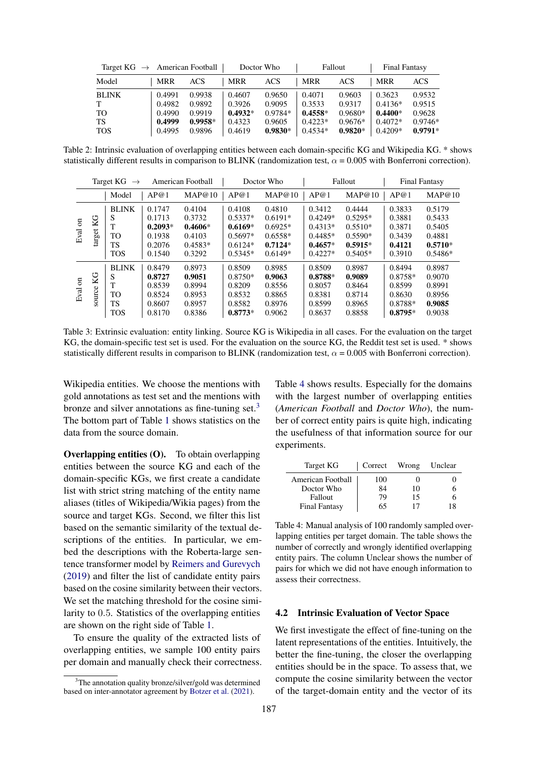<span id="page-3-2"></span>

| Target $KG \rightarrow$ American Football |            |           |            | Doctor Who |            | Fallout   | <b>Final Fantasy</b> |           |
|-------------------------------------------|------------|-----------|------------|------------|------------|-----------|----------------------|-----------|
| Model                                     | <b>MRR</b> | ACS       | <b>MRR</b> | ACS        | <b>MRR</b> | ACS       | <b>MRR</b>           | ACS       |
| <b>BLINK</b>                              | 0.4991     | 0.9938    | 0.4607     | 0.9650     | 0.4071     | 0.9603    | 0.3623               | 0.9532    |
| T                                         | 0.4982     | 0.9892    | 0.3926     | 0.9095     | 0.3533     | 0.9317    | $0.4136*$            | 0.9515    |
| <b>TO</b>                                 | 0.4990     | 0.9919    | $0.4932*$  | $0.9784*$  | $0.4558*$  | $0.9680*$ | $0.4400*$            | 0.9628    |
| TS                                        | 0.4999     | $0.9958*$ | 0.4323     | 0.9605     | $0.4223*$  | $0.9676*$ | $0.4072*$            | $0.9746*$ |
| <b>TOS</b>                                | 0.4995     | 0.9896    | 0.4619     | $0.9830*$  | $0.4534*$  | $0.9820*$ | $0.4209*$            | $0.9791*$ |

Table 2: Intrinsic evaluation of overlapping entities between each domain-specific KG and Wikipedia KG. \* shows statistically different results in comparison to BLINK (randomization test,  $\alpha = 0.005$  with Bonferroni correction).

<span id="page-3-3"></span>

|                        |              | Target KG<br>$\rightarrow$                                         |                                                             | American Football                                              |                                                                         | Doctor Who                                                              |                                                                         | Fallout                                                                 |                                                                 | <b>Final Fantasy</b>                                           |
|------------------------|--------------|--------------------------------------------------------------------|-------------------------------------------------------------|----------------------------------------------------------------|-------------------------------------------------------------------------|-------------------------------------------------------------------------|-------------------------------------------------------------------------|-------------------------------------------------------------------------|-----------------------------------------------------------------|----------------------------------------------------------------|
|                        |              | Model                                                              | AP@1                                                        | MAP@10                                                         | AP@1                                                                    | MAP@10                                                                  | AP@1                                                                    | MAP@10                                                                  | AP@1                                                            | MAP@10                                                         |
| $\overline{5}$<br>Eval | KG<br>target | <b>BLINK</b><br>S<br>$\mathbf{r}$<br><b>TO</b><br>TS<br><b>TOS</b> | 0.1747<br>0.1713<br>$0.2093*$<br>0.1938<br>0.2076<br>0.1540 | 0.4104<br>0.3732<br>$0.4606*$<br>0.4103<br>$0.4583*$<br>0.3292 | 0.4108<br>$0.5337*$<br>$0.6169*$<br>$0.5697*$<br>$0.6124*$<br>$0.5345*$ | 0.4810<br>$0.6191*$<br>$0.6925*$<br>$0.6558*$<br>$0.7124*$<br>$0.6149*$ | 0.3412<br>$0.4249*$<br>$0.4313*$<br>$0.4485*$<br>$0.4657*$<br>$0.4227*$ | 0.4444<br>$0.5295*$<br>$0.5510*$<br>$0.5590*$<br>$0.5915*$<br>$0.5405*$ | 0.3833<br>0.3881<br>0.3871<br>0.3439<br>0.4121<br>0.3910        | 0.5179<br>0.5433<br>0.5405<br>0.4881<br>$0.5710*$<br>$0.5486*$ |
| $\overline{5}$<br>Eval | KG<br>source | <b>BLINK</b><br>S<br>т<br><b>TO</b><br>TS<br><b>TOS</b>            | 0.8479<br>0.8727<br>0.8539<br>0.8524<br>0.8607<br>0.8170    | 0.8973<br>0.9051<br>0.8994<br>0.8953<br>0.8957<br>0.8386       | 0.8509<br>$0.8750*$<br>0.8209<br>0.8532<br>0.8582<br>$0.8773*$          | 0.8985<br>0.9063<br>0.8556<br>0.8865<br>0.8976<br>0.9062                | 0.8509<br>$0.8788*$<br>0.8057<br>0.8381<br>0.8599<br>0.8637             | 0.8987<br>0.9089<br>0.8464<br>0.8714<br>0.8965<br>0.8858                | 0.8494<br>$0.8758*$<br>0.8599<br>0.8630<br>0.8788*<br>$0.8795*$ | 0.8987<br>0.9070<br>0.8991<br>0.8956<br>0.9085<br>0.9038       |

Table 3: Extrinsic evaluation: entity linking. Source KG is Wikipedia in all cases. For the evaluation on the target KG, the domain-specific test set is used. For the evaluation on the source KG, the Reddit test set is used. \* shows statistically different results in comparison to BLINK (randomization test,  $\alpha$  = 0.005 with Bonferroni correction).

Wikipedia entities. We choose the mentions with gold annotations as test set and the mentions with bronze and silver annotations as fine-tuning set. $3$ The bottom part of Table [1](#page-2-4) shows statistics on the data from the source domain.

Overlapping entities (O). To obtain overlapping entities between the source KG and each of the domain-specific KGs, we first create a candidate list with strict string matching of the entity name aliases (titles of Wikipedia/Wikia pages) from the source and target KGs. Second, we filter this list based on the semantic similarity of the textual descriptions of the entities. In particular, we embed the descriptions with the Roberta-large sentence transformer model by [Reimers and Gurevych](#page-5-16) [\(2019\)](#page-5-16) and filter the list of candidate entity pairs based on the cosine similarity between their vectors. We set the matching threshold for the cosine similarity to 0.5. Statistics of the overlapping entities are shown on the right side of Table [1.](#page-2-4)

To ensure the quality of the extracted lists of overlapping entities, we sample 100 entity pairs per domain and manually check their correctness. Table [4](#page-3-1) shows results. Especially for the domains with the largest number of overlapping entities (*American Football* and *Doctor Who*), the number of correct entity pairs is quite high, indicating the usefulness of that information source for our experiments.

<span id="page-3-1"></span>

| Target KG            | Correct | Wrong | Unclear |
|----------------------|---------|-------|---------|
| American Football    | 100     |       |         |
| Doctor Who           | 84      | 10    |         |
| Fallout              | 79      | 15    |         |
| <b>Final Fantasy</b> | 65      | 17    |         |

Table 4: Manual analysis of 100 randomly sampled overlapping entities per target domain. The table shows the number of correctly and wrongly identified overlapping entity pairs. The column Unclear shows the number of pairs for which we did not have enough information to assess their correctness.

#### 4.2 Intrinsic Evaluation of Vector Space

We first investigate the effect of fine-tuning on the latent representations of the entities. Intuitively, the better the fine-tuning, the closer the overlapping entities should be in the space. To assess that, we compute the cosine similarity between the vector of the target-domain entity and the vector of its

<span id="page-3-0"></span><sup>&</sup>lt;sup>3</sup>The annotation quality bronze/silver/gold was determined based on inter-annotator agreement by [Botzer et al.](#page-5-15) [\(2021\)](#page-5-15).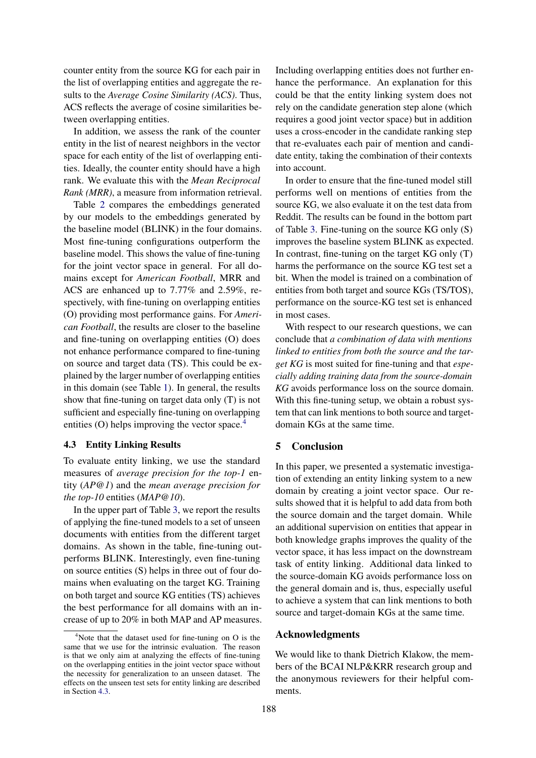counter entity from the source KG for each pair in the list of overlapping entities and aggregate the results to the *Average Cosine Similarity (ACS)*. Thus, ACS reflects the average of cosine similarities between overlapping entities.

In addition, we assess the rank of the counter entity in the list of nearest neighbors in the vector space for each entity of the list of overlapping entities. Ideally, the counter entity should have a high rank. We evaluate this with the *Mean Reciprocal Rank (MRR)*, a measure from information retrieval.

Table [2](#page-3-2) compares the embeddings generated by our models to the embeddings generated by the baseline model (BLINK) in the four domains. Most fine-tuning configurations outperform the baseline model. This shows the value of fine-tuning for the joint vector space in general. For all domains except for *American Football*, MRR and ACS are enhanced up to 7.77% and 2.59%, respectively, with fine-tuning on overlapping entities (O) providing most performance gains. For *American Football*, the results are closer to the baseline and fine-tuning on overlapping entities (O) does not enhance performance compared to fine-tuning on source and target data (TS). This could be explained by the larger number of overlapping entities in this domain (see Table [1\)](#page-2-4). In general, the results show that fine-tuning on target data only (T) is not sufficient and especially fine-tuning on overlapping entities (O) helps improving the vector space.<sup>[4](#page-4-0)</sup>

#### <span id="page-4-1"></span>4.3 Entity Linking Results

To evaluate entity linking, we use the standard measures of *average precision for the top-1* entity (*AP@1*) and the *mean average precision for the top-10* entities (*MAP@10*).

In the upper part of Table [3,](#page-3-3) we report the results of applying the fine-tuned models to a set of unseen documents with entities from the different target domains. As shown in the table, fine-tuning outperforms BLINK. Interestingly, even fine-tuning on source entities (S) helps in three out of four domains when evaluating on the target KG. Training on both target and source KG entities (TS) achieves the best performance for all domains with an increase of up to 20% in both MAP and AP measures. Including overlapping entities does not further enhance the performance. An explanation for this could be that the entity linking system does not rely on the candidate generation step alone (which requires a good joint vector space) but in addition uses a cross-encoder in the candidate ranking step that re-evaluates each pair of mention and candidate entity, taking the combination of their contexts into account.

In order to ensure that the fine-tuned model still performs well on mentions of entities from the source KG, we also evaluate it on the test data from Reddit. The results can be found in the bottom part of Table [3.](#page-3-3) Fine-tuning on the source KG only (S) improves the baseline system BLINK as expected. In contrast, fine-tuning on the target KG only (T) harms the performance on the source KG test set a bit. When the model is trained on a combination of entities from both target and source KGs (TS/TOS), performance on the source-KG test set is enhanced in most cases.

With respect to our research questions, we can conclude that *a combination of data with mentions linked to entities from both the source and the target KG* is most suited for fine-tuning and that *especially adding training data from the source-domain KG* avoids performance loss on the source domain. With this fine-tuning setup, we obtain a robust system that can link mentions to both source and targetdomain KGs at the same time.

### 5 Conclusion

In this paper, we presented a systematic investigation of extending an entity linking system to a new domain by creating a joint vector space. Our results showed that it is helpful to add data from both the source domain and the target domain. While an additional supervision on entities that appear in both knowledge graphs improves the quality of the vector space, it has less impact on the downstream task of entity linking. Additional data linked to the source-domain KG avoids performance loss on the general domain and is, thus, especially useful to achieve a system that can link mentions to both source and target-domain KGs at the same time.

# Acknowledgments

We would like to thank Dietrich Klakow, the members of the BCAI NLP&KRR research group and the anonymous reviewers for their helpful comments.

<span id="page-4-0"></span> $4$ Note that the dataset used for fine-tuning on O is the same that we use for the intrinsic evaluation. The reason is that we only aim at analyzing the effects of fine-tuning on the overlapping entities in the joint vector space without the necessity for generalization to an unseen dataset. The effects on the unseen test sets for entity linking are described in Section [4.3.](#page-4-1)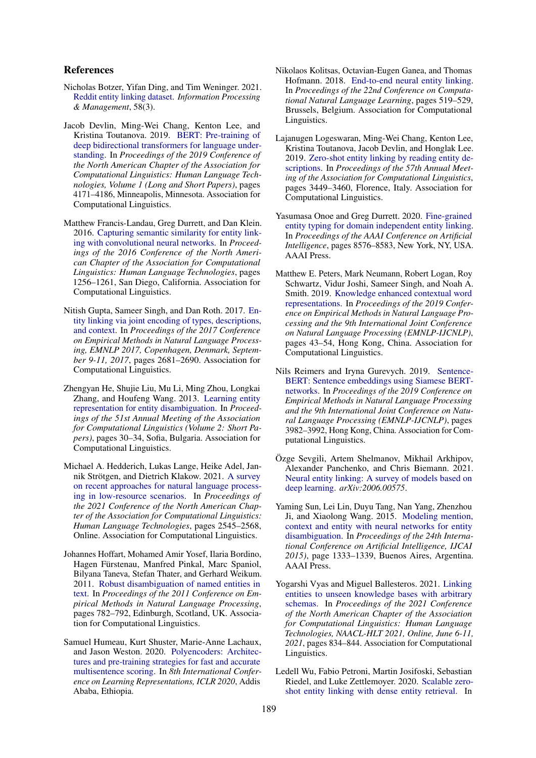# References

- <span id="page-5-15"></span>Nicholas Botzer, Yifan Ding, and Tim Weninger. 2021. [Reddit entity linking dataset.](https://doi.org/https://doi.org/10.1016/j.ipm.2020.102479) *Information Processing & Management*, 58(3).
- <span id="page-5-11"></span>Jacob Devlin, Ming-Wei Chang, Kenton Lee, and Kristina Toutanova. 2019. [BERT: Pre-training of](https://doi.org/10.18653/v1/N19-1423) [deep bidirectional transformers for language under](https://doi.org/10.18653/v1/N19-1423)[standing.](https://doi.org/10.18653/v1/N19-1423) In *Proceedings of the 2019 Conference of the North American Chapter of the Association for Computational Linguistics: Human Language Technologies, Volume 1 (Long and Short Papers)*, pages 4171–4186, Minneapolis, Minnesota. Association for Computational Linguistics.
- <span id="page-5-9"></span>Matthew Francis-Landau, Greg Durrett, and Dan Klein. 2016. [Capturing semantic similarity for entity link](https://doi.org/10.18653/v1/N16-1150)[ing with convolutional neural networks.](https://doi.org/10.18653/v1/N16-1150) In *Proceedings of the 2016 Conference of the North American Chapter of the Association for Computational Linguistics: Human Language Technologies*, pages 1256–1261, San Diego, California. Association for Computational Linguistics.
- <span id="page-5-4"></span>Nitish Gupta, Sameer Singh, and Dan Roth. 2017. [En](https://doi.org/10.18653/v1/d17-1284)[tity linking via joint encoding of types, descriptions,](https://doi.org/10.18653/v1/d17-1284) [and context.](https://doi.org/10.18653/v1/d17-1284) In *Proceedings of the 2017 Conference on Empirical Methods in Natural Language Processing, EMNLP 2017, Copenhagen, Denmark, September 9-11, 2017*, pages 2681–2690. Association for Computational Linguistics.
- <span id="page-5-7"></span>Zhengyan He, Shujie Liu, Mu Li, Ming Zhou, Longkai Zhang, and Houfeng Wang. 2013. [Learning entity](https://aclanthology.org/P13-2006) [representation for entity disambiguation.](https://aclanthology.org/P13-2006) In *Proceedings of the 51st Annual Meeting of the Association for Computational Linguistics (Volume 2: Short Papers)*, pages 30–34, Sofia, Bulgaria. Association for Computational Linguistics.
- <span id="page-5-2"></span>Michael A. Hedderich, Lukas Lange, Heike Adel, Jannik Strötgen, and Dietrich Klakow. 2021. [A survey](https://doi.org/10.18653/v1/2021.naacl-main.201) [on recent approaches for natural language process](https://doi.org/10.18653/v1/2021.naacl-main.201)[ing in low-resource scenarios.](https://doi.org/10.18653/v1/2021.naacl-main.201) In *Proceedings of the 2021 Conference of the North American Chapter of the Association for Computational Linguistics: Human Language Technologies*, pages 2545–2568, Online. Association for Computational Linguistics.
- <span id="page-5-3"></span>Johannes Hoffart, Mohamed Amir Yosef, Ilaria Bordino, Hagen Fürstenau, Manfred Pinkal, Marc Spaniol, Bilyana Taneva, Stefan Thater, and Gerhard Weikum. 2011. [Robust disambiguation of named entities in](https://aclanthology.org/D11-1072) [text.](https://aclanthology.org/D11-1072) In *Proceedings of the 2011 Conference on Empirical Methods in Natural Language Processing*, pages 782–792, Edinburgh, Scotland, UK. Association for Computational Linguistics.
- <span id="page-5-13"></span>Samuel Humeau, Kurt Shuster, Marie-Anne Lachaux, and Jason Weston. 2020. [Polyencoders: Architec](https://openreview.net/forum?id=SkxgnnNFvH)[tures and pre-training strategies for fast and accurate](https://openreview.net/forum?id=SkxgnnNFvH) [multisentence scoring.](https://openreview.net/forum?id=SkxgnnNFvH) In *8th International Conference on Learning Representations, ICLR 2020*, Addis Ababa, Ethiopia.
- <span id="page-5-10"></span>Nikolaos Kolitsas, Octavian-Eugen Ganea, and Thomas Hofmann. 2018. [End-to-end neural entity linking.](https://doi.org/10.18653/v1/K18-1050) In *Proceedings of the 22nd Conference on Computational Natural Language Learning*, pages 519–529, Brussels, Belgium. Association for Computational Linguistics.
- <span id="page-5-5"></span>Lajanugen Logeswaran, Ming-Wei Chang, Kenton Lee, Kristina Toutanova, Jacob Devlin, and Honglak Lee. 2019. [Zero-shot entity linking by reading entity de](https://doi.org/10.18653/v1/P19-1335)[scriptions.](https://doi.org/10.18653/v1/P19-1335) In *Proceedings of the 57th Annual Meeting of the Association for Computational Linguistics*, pages 3449–3460, Florence, Italy. Association for Computational Linguistics.
- <span id="page-5-1"></span>Yasumasa Onoe and Greg Durrett. 2020. [Fine-grained](https://aaai.org/ojs/index.php/AAAI/article/view/6380) [entity typing for domain independent entity linking.](https://aaai.org/ojs/index.php/AAAI/article/view/6380) In *Proceedings of the AAAI Conference on Artificial Intelligence*, pages 8576–8583, New York, NY, USA. AAAI Press.
- <span id="page-5-12"></span>Matthew E. Peters, Mark Neumann, Robert Logan, Roy Schwartz, Vidur Joshi, Sameer Singh, and Noah A. Smith. 2019. [Knowledge enhanced contextual word](https://doi.org/10.18653/v1/D19-1005) [representations.](https://doi.org/10.18653/v1/D19-1005) In *Proceedings of the 2019 Conference on Empirical Methods in Natural Language Processing and the 9th International Joint Conference on Natural Language Processing (EMNLP-IJCNLP)*, pages 43–54, Hong Kong, China. Association for Computational Linguistics.
- <span id="page-5-16"></span>Nils Reimers and Iryna Gurevych. 2019. [Sentence-](https://doi.org/10.18653/v1/D19-1410)[BERT: Sentence embeddings using Siamese BERT](https://doi.org/10.18653/v1/D19-1410)[networks.](https://doi.org/10.18653/v1/D19-1410) In *Proceedings of the 2019 Conference on Empirical Methods in Natural Language Processing and the 9th International Joint Conference on Natural Language Processing (EMNLP-IJCNLP)*, pages 3982–3992, Hong Kong, China. Association for Computational Linguistics.
- <span id="page-5-0"></span>Özge Sevgili, Artem Shelmanov, Mikhail Arkhipov, Alexander Panchenko, and Chris Biemann. 2021. [Neural entity linking: A survey of models based on](https://arxiv.org/abs/2006.00575) [deep learning.](https://arxiv.org/abs/2006.00575) *arXiv:2006.00575*.
- <span id="page-5-8"></span>Yaming Sun, Lei Lin, Duyu Tang, Nan Yang, Zhenzhou Ji, and Xiaolong Wang. 2015. [Modeling mention,](https://doi.org/https://dl.acm.org/doi/10.5555/2832415.2832435) [context and entity with neural networks for entity](https://doi.org/https://dl.acm.org/doi/10.5555/2832415.2832435) [disambiguation.](https://doi.org/https://dl.acm.org/doi/10.5555/2832415.2832435) In *Proceedings of the 24th International Conference on Artificial Intelligence, IJCAI 2015)*, page 1333–1339, Buenos Aires, Argentina. AAAI Press.
- <span id="page-5-14"></span>Yogarshi Vyas and Miguel Ballesteros. 2021. [Linking](https://doi.org/10.18653/v1/2021.naacl-main.65) [entities to unseen knowledge bases with arbitrary](https://doi.org/10.18653/v1/2021.naacl-main.65) [schemas.](https://doi.org/10.18653/v1/2021.naacl-main.65) In *Proceedings of the 2021 Conference of the North American Chapter of the Association for Computational Linguistics: Human Language Technologies, NAACL-HLT 2021, Online, June 6-11, 2021*, pages 834–844. Association for Computational Linguistics.
- <span id="page-5-6"></span>Ledell Wu, Fabio Petroni, Martin Josifoski, Sebastian Riedel, and Luke Zettlemoyer. 2020. [Scalable zero](https://doi.org/10.18653/v1/2020.emnlp-main.519)[shot entity linking with dense entity retrieval.](https://doi.org/10.18653/v1/2020.emnlp-main.519) In